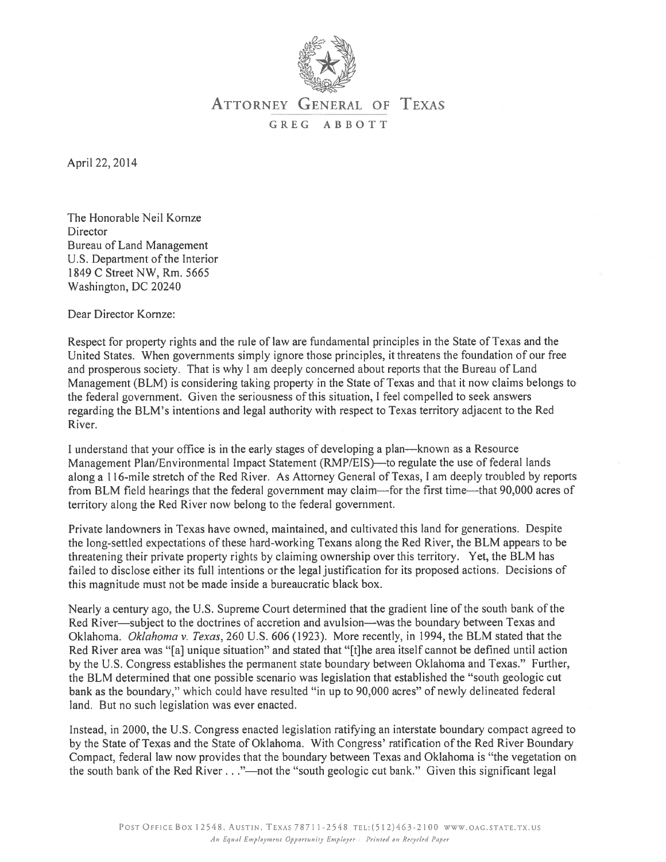

## ATTORNEY GENERAL OF TEXAS GREG ABBOTT

April 22, 2014

The Honorable Neil Kornze Director Bureau of Land Management U.S. Department of the Interior 1849 C Street NW, Rm. 5665 Washington, DC 20240

Dear Director Kornze:

Respect for property rights and the rule of law are fundamental principles in the State of Texas and the United States. When governments simply ignore those principles, it threatens the foundation of our free and prosperous society. That is why <sup>I</sup> am deeply concerned about reports that the Bureau of Land Management (BLM) is considering taking property in the State of Texas and that it now claims belongs to the federal government. Given the seriousness of this situation, I feel compelled to seek answers regarding the BLM's intentions and legal authority with respec<sup>t</sup> to Texas territory adjacent to the Red River.

I understand that your office is in the early stages of developing <sup>a</sup> plan—known as <sup>a</sup> Resource Management Plan/Environmental Impact Statement (RMP/EIS)—to regulate the use of federal lands along <sup>a</sup> 116-mile stretch of the Red River. As Attorney General of Texas, <sup>I</sup> am deeply troubled by reports from BLM field hearings that the federal governmen<sup>t</sup> may claim—for the first time—that 90,000 acres of territory along the Red River now belong to the federal government.

Private landowners in Texas have owned, maintained, and cultivated this land for generations. Despite the long-settled expectations of these hard-working Texans along the Red River, the BLM appears to be threatening their private property rights by claiming ownership over this territory. Yet, the BLM has failed to disclose either its full intentions or the legal justification for its proposed actions. Decisions of this magnitude must not be made inside <sup>a</sup> bureaucratic black box.

Nearly <sup>a</sup> century ago, the U.S. Supreme Court determined that the gradient line of the south bank of the Red River—subject to the doctrines of accretion and avulsion—was the boundary between Texas and Oklahoma. Oklahoma v. Texas, 260 U.S. 606 (1923). More recently, in 1994, the BLM stated that the Red River area was "[a] unique situation" and stated that "[t]he area itself cannot be defined until action by the U.S. Congress establishes the permanen<sup>t</sup> state boundary between Oklahoma and Texas." Further, the BLM determined that one possible scenario was legislation that established the "south geologic cut bank as the boundary," which could have resulted "in up to 90,000 acres" of newly delineated federal land. But no such legislation was ever enacted.

Instead, in 2000, the U.S. Congress enacted legislation ratifying an interstate boundary compac<sup>t</sup> agreed to by the State of Texas and the State of Oklahoma. With Congress' ratification of the Red River Boundary Compact, federal law now provides that the boundary between Texas and Oklahoma is "the vegetation on the south bank of the Red River. . "—not the "south geologic cut bank." Given this significant legal